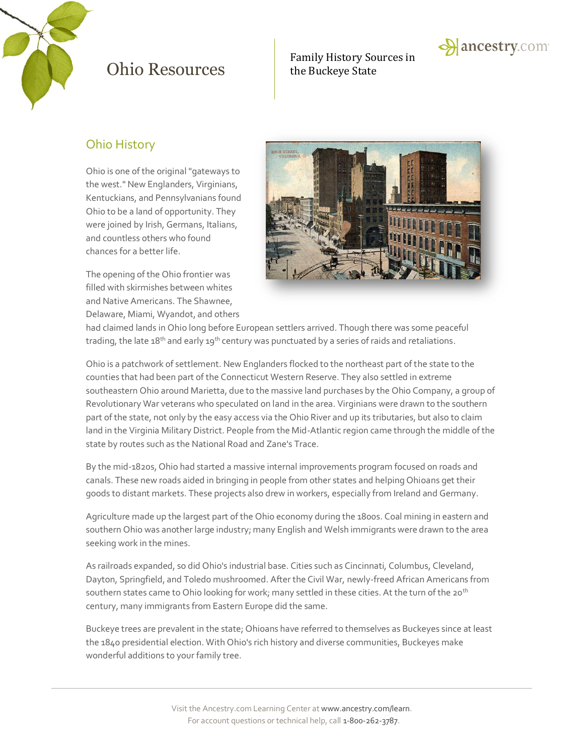

Family History Sources in



### Ohio History

Ohio is one of the original "gateways to the west." New Englanders, Virginians, Kentuckians, and Pennsylvanians found Ohio to be a land of opportunity. They were joined by Irish, Germans, Italians, and countless others who found chances for a better life.

The opening of the Ohio frontier was filled with skirmishes between whites and Native Americans. The Shawnee, Delaware, Miami, Wyandot, and others



had claimed lands in Ohio long before European settlers arrived. Though there was some peaceful trading, the late 18<sup>th</sup> and early 19<sup>th</sup> century was punctuated by a series of raids and retaliations.

Ohio is a patchwork of settlement. New Englanders flocked to the northeast part of the state to the counties that had been part of the Connecticut Western Reserve. They also settled in extreme southeastern Ohio around Marietta, due to the massive land purchases by the Ohio Company, a group of Revolutionary War veterans who speculated on land in the area. Virginians were drawn to the southern part of the state, not only by the easy access via the Ohio River and up its tributaries, but also to claim land in the Virginia Military District. People from the Mid-Atlantic region came through the middle of the state by routes such as the National Road and Zane's Trace.

By the mid-1820s, Ohio had started a massive internal improvements program focused on roads and canals. These new roads aided in bringing in people from other states and helping Ohioans get their goods to distant markets. These projects also drew in workers, especially from Ireland and Germany.

Agriculture made up the largest part of the Ohio economy during the 1800s. Coal mining in eastern and southern Ohio was another large industry; many English and Welsh immigrants were drawn to the area seeking work in the mines.

As railroads expanded, so did Ohio's industrial base. Cities such as Cincinnati, Columbus, Cleveland, Dayton, Springfield, and Toledo mushroomed. After the Civil War, newly-freed African Americans from southern states came to Ohio looking for work; many settled in these cities. At the turn of the 20<sup>th</sup> century, many immigrants from Eastern Europe did the same.

Buckeye trees are prevalent in the state; Ohioans have referred to themselves as Buckeyes since at least the 1840 presidential election. With Ohio's rich history and diverse communities, Buckeyes make wonderful additions to your family tree.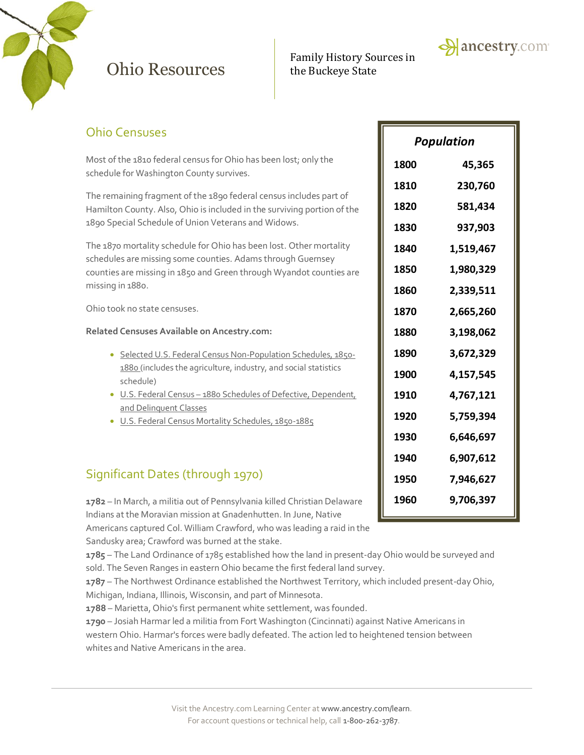

# Family History Sources in



### Ohio Censuses

Most of the 1810 federal census for Ohio has been lost; only the schedule for Washington County survives.

The remaining fragment of the 1890 federal census includes part of Hamilton County. Also, Ohio is included in the surviving portion of the 1890 Special Schedule of Union Veterans and Widows.

The 1870 mortality schedule for Ohio has been lost. Other mortality schedules are missing some counties. Adams through Guernsey counties are missing in 1850 and Green through Wyandot counties are missing in 1880.

Ohio took no state censuses.

#### **Related Censuses Available on Ancestry.com:**

- [Selected U.S. Federal Census Non-Population Schedules, 1850-](http://search.ancestry.com/search/db.aspx?dbid=1276) [1880](http://search.ancestry.com/search/db.aspx?dbid=1276) (includes the agriculture, industry, and social statistics schedule)
- U.S. Federal Census [1880 Schedules of Defective, Dependent,](http://search.ancestry.com/search/db.aspx?dbid=1634)  [and Delinquent Classes](http://search.ancestry.com/search/db.aspx?dbid=1634)
- [U.S. Federal Census Mortality Schedules, 1850-1885](http://search.ancestry.com/search/db.aspx?dbid=8756)

### Significant Dates (through 1970)

**1782** – In March, a militia out of Pennsylvania killed Christian Delaware Indians at the Moravian mission at Gnadenhutten. In June, Native

Americans captured Col. William Crawford, who was leading a raid in the Sandusky area; Crawford was burned at the stake.

**1785** – The Land Ordinance of 1785 established how the land in present-day Ohio would be surveyed and sold. The Seven Ranges in eastern Ohio became the first federal land survey.

**1787** – The Northwest Ordinance established the Northwest Territory, which included present-day Ohio, Michigan, Indiana, Illinois, Wisconsin, and part of Minnesota.

**1788** – Marietta, Ohio's first permanent white settlement, was founded.

**1790** – Josiah Harmar led a militia from Fort Washington (Cincinnati) against Native Americans in western Ohio. Harmar's forces were badly defeated. The action led to heightened tension between whites and Native Americans in the area.

| Population  |           |
|-------------|-----------|
| <b>1800</b> | 45,365    |
| 1810        | 230,760   |
| 1820        | 581,434   |
| 1830        | 937,903   |
| 1840        | 1,519,467 |
| 1850        | 1,980,329 |
| 1860        | 2,339,511 |
| 1870        | 2,665,260 |
| 1880        | 3,198,062 |
| 1890        | 3,672,329 |
| 1900        | 4,157,545 |
| 1910        | 4,767,121 |
| 1920        | 5,759,394 |
| 1930        | 6,646,697 |
| 1940        | 6,907,612 |
| 1950        | 7,946,627 |
| 1960        | 9,706,397 |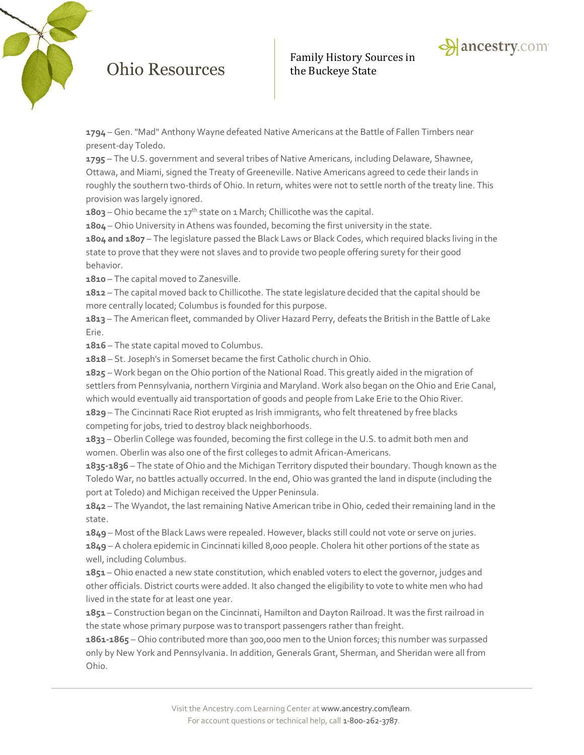

**1794** – Gen. "Mad" Anthony Wayne defeated Native Americans at the Battle of Fallen Timbers near present-day Toledo.

**1795** – The U.S. government and several tribes of Native Americans, including Delaware, Shawnee, Ottawa, and Miami, signed the Treaty of Greeneville. Native Americans agreed to cede their lands in roughly the southern two-thirds of Ohio. In return, whites were not to settle north of the treaty line. This provision was largely ignored.

**1803** – Ohio became the 17th state on 1 March; Chillicothe was the capital.

**1804** – Ohio University in Athens was founded, becoming the first university in the state.

**1804 and 1807** – The legislature passed the Black Laws or Black Codes, which required blacks living in the state to prove that they were not slaves and to provide two people offering surety for their good behavior.

**1810** – The capital moved to Zanesville.

**1812** – The capital moved back to Chillicothe. The state legislature decided that the capital should be more centrally located; Columbus is founded for this purpose.

**1813** – The American fleet, commanded by Oliver Hazard Perry, defeats the British in the Battle of Lake Erie.

**1816** – The state capital moved to Columbus.

**1818** – St. Joseph's in Somerset became the first Catholic church in Ohio.

**1825** – Work began on the Ohio portion of the National Road. This greatly aided in the migration of settlers from Pennsylvania, northern Virginia and Maryland. Work also began on the Ohio and Erie Canal, which would eventually aid transportation of goods and people from Lake Erie to the Ohio River.

**1829** – The Cincinnati Race Riot erupted as Irish immigrants, who felt threatened by free blacks competing for jobs, tried to destroy black neighborhoods.

**1833** – Oberlin College was founded, becoming the first college in the U.S. to admit both men and women. Oberlin was also one of the first colleges to admit African-Americans.

**1835-1836** – The state of Ohio and the Michigan Territory disputed their boundary. Though known as the Toledo War, no battles actually occurred. In the end, Ohio was granted the land in dispute (including the port at Toledo) and Michigan received the Upper Peninsula.

**1842** – The Wyandot, the last remaining Native American tribe in Ohio, ceded their remaining land in the state.

**1849** – Most of the Black Laws were repealed. However, blacks still could not vote or serve on juries.

**1849** – A cholera epidemic in Cincinnati killed 8,000 people. Cholera hit other portions of the state as well, including Columbus.

**1851** – Ohio enacted a new state constitution, which enabled voters to elect the governor, judges and other officials. District courts were added. It also changed the eligibility to vote to white men who had lived in the state for at least one year.

**1851** – Construction began on the Cincinnati, Hamilton and Dayton Railroad. It was the first railroad in the state whose primary purpose was to transport passengers rather than freight.

**1861-1865** – Ohio contributed more than 300,000 men to the Union forces; this number was surpassed only by New York and Pennsylvania. In addition, Generals Grant, Sherman, and Sheridan were all from Ohio.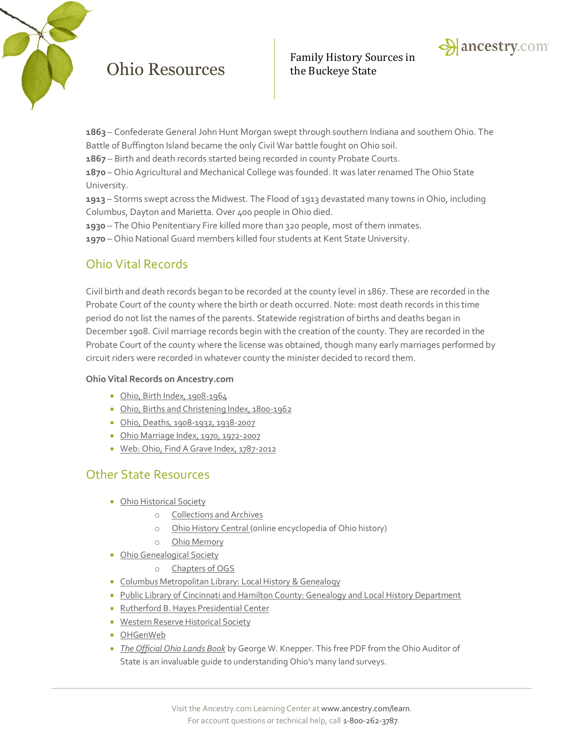

**1863** – Confederate General John Hunt Morgan swept through southern Indiana and southern Ohio. The Battle of Buffington Island became the only Civil War battle fought on Ohio soil.

**1867** – Birth and death records started being recorded in county Probate Courts.

**1870** – Ohio Agricultural and Mechanical College was founded. It was later renamed The Ohio State University.

**1913** – Storms swept across the Midwest. The Flood of 1913 devastated many towns in Ohio, including Columbus, Dayton and Marietta. Over 400 people in Ohio died.

**1930** – The Ohio Penitentiary Fire killed more than 320 people, most of them inmates.

**1970** – Ohio National Guard members killed four students at Kent State University.

### Ohio Vital Records

Civil birth and death records began to be recorded at the county level in 1867. These are recorded in the Probate Court of the county where the birth or death occurred. Note: most death records in this time period do not list the names of the parents. Statewide registration of births and deaths began in December 1908. Civil marriage records begin with the creation of the county. They are recorded in the Probate Court of the county where the license was obtained, though many early marriages performed by circuit riders were recorded in whatever county the minister decided to record them.

#### **Ohio Vital Records on Ancestry.com**

- [Ohio, Birth Index, 1908-1964](http://search.ancestry.com/search/db.aspx?dbid=3146)
- [Ohio, Births and Christening Index, 1800-1962](http://search.ancestry.com/search/db.aspx?dbid=2541)
- [Ohio, Deaths, 1908-1932, 1938-2007](http://search.ancestry.com/search/db.aspx?dbid=5763)
- [Ohio Marriage Index, 1970, 1972-2007](http://search.ancestry.com/search/db.aspx?dbid=2025)
- [Web: Ohio, Find A Grave Index, 1787-2012](http://search.ancestry.com/search/db.aspx?dbid=70559)

#### Other State Resources

- [Ohio Historical Society](http://ohiohistory.org/)
	- o [Collections and Archives](http://ohiohistory.org/collections--archives)
	- o [Ohio History Central](http://www.ohiohistorycentral.org/) (online encyclopedia of Ohio history)
	- o [Ohio Memory](http://ohiomemory.org/)
- [Ohio Genealogical Society](http://ogs.org/)
	- o [Chapters of OGS](http://ogs.org/chapters/index.php)
- [Columbus Metropolitan Library: Local History & Genealogy](http://www.columbuslibrary.org/research/local-history-genealogy)
- [Public Library of Cincinnati and Hamilton County: Genealogy and Local History Department](http://www.cincinnatilibrary.org/main/genlocal.html)
- [Rutherford B. Hayes Presidential Center](http://www.rbhayes.org/hayes/)
- [Western Reserve Historical Society](http://www.wrhs.org/)
- [OHGenWeb](http://www.ohgenweb.org/)
- *[The Official Ohio Lands Book](https://ohioauditor.gov/publications/OhioLandsBook.pdf)* by George W. Knepper. This free PDF from the Ohio Auditor of State is an invaluable guide to understanding Ohio's many land surveys.